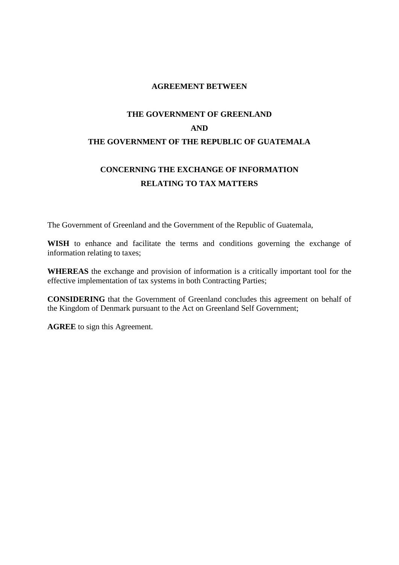### **AGREEMENT BETWEEN**

# **THE GOVERNMENT OF GREENLAND AND THE GOVERNMENT OF THE REPUBLIC OF GUATEMALA**

# **CONCERNING THE EXCHANGE OF INFORMATION RELATING TO TAX MATTERS**

The Government of Greenland and the Government of the Republic of Guatemala,

**WISH** to enhance and facilitate the terms and conditions governing the exchange of information relating to taxes;

**WHEREAS** the exchange and provision of information is a critically important tool for the effective implementation of tax systems in both Contracting Parties;

**CONSIDERING** that the Government of Greenland concludes this agreement on behalf of the Kingdom of Denmark pursuant to the Act on Greenland Self Government;

**AGREE** to sign this Agreement.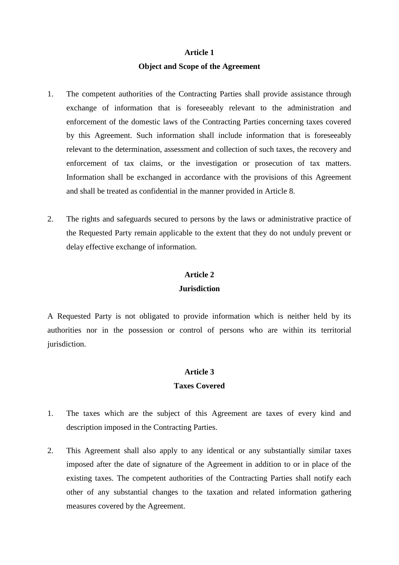#### **Object and Scope of the Agreement**

- 1. The competent authorities of the Contracting Parties shall provide assistance through exchange of information that is foreseeably relevant to the administration and enforcement of the domestic laws of the Contracting Parties concerning taxes covered by this Agreement. Such information shall include information that is foreseeably relevant to the determination, assessment and collection of such taxes, the recovery and enforcement of tax claims, or the investigation or prosecution of tax matters. Information shall be exchanged in accordance with the provisions of this Agreement and shall be treated as confidential in the manner provided in Article 8.
- 2. The rights and safeguards secured to persons by the laws or administrative practice of the Requested Party remain applicable to the extent that they do not unduly prevent or delay effective exchange of information.

### **Article 2**

#### **Jurisdiction**

A Requested Party is not obligated to provide information which is neither held by its authorities nor in the possession or control of persons who are within its territorial jurisdiction.

## **Article 3 Taxes Covered**

- 1. The taxes which are the subject of this Agreement are taxes of every kind and description imposed in the Contracting Parties.
- 2. This Agreement shall also apply to any identical or any substantially similar taxes imposed after the date of signature of the Agreement in addition to or in place of the existing taxes. The competent authorities of the Contracting Parties shall notify each other of any substantial changes to the taxation and related information gathering measures covered by the Agreement.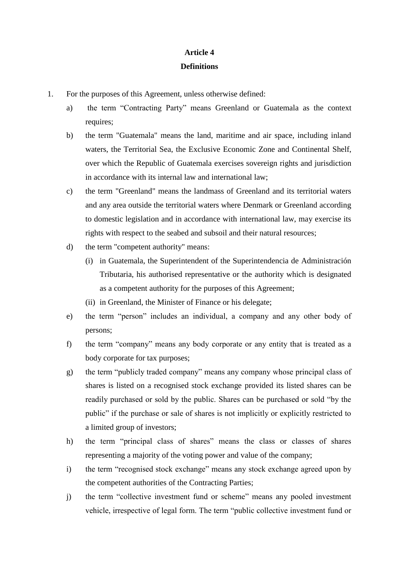## **Definitions**

- 1. For the purposes of this Agreement, unless otherwise defined:
	- a) the term "Contracting Party" means Greenland or Guatemala as the context requires;
	- b) the term "Guatemala" means the land, maritime and air space, including inland waters, the Territorial Sea, the Exclusive Economic Zone and Continental Shelf, over which the Republic of Guatemala exercises sovereign rights and jurisdiction in accordance with its internal law and international law;
	- c) the term "Greenland" means the landmass of Greenland and its territorial waters and any area outside the territorial waters where Denmark or Greenland according to domestic legislation and in accordance with international law, may exercise its rights with respect to the seabed and subsoil and their natural resources;
	- d) the term "competent authority" means:
		- (i) in Guatemala, the Superintendent of the Superintendencia de Administración Tributaria, his authorised representative or the authority which is designated as a competent authority for the purposes of this Agreement;
		- (ii) in Greenland, the Minister of Finance or his delegate;
	- e) the term "person" includes an individual, a company and any other body of persons;
	- f) the term "company" means any body corporate or any entity that is treated as a body corporate for tax purposes;
	- g) the term "publicly traded company" means any company whose principal class of shares is listed on a recognised stock exchange provided its listed shares can be readily purchased or sold by the public. Shares can be purchased or sold "by the public" if the purchase or sale of shares is not implicitly or explicitly restricted to a limited group of investors;
	- h) the term "principal class of shares" means the class or classes of shares representing a majority of the voting power and value of the company;
	- i) the term "recognised stock exchange" means any stock exchange agreed upon by the competent authorities of the Contracting Parties;
	- j) the term "collective investment fund or scheme" means any pooled investment vehicle, irrespective of legal form. The term "public collective investment fund or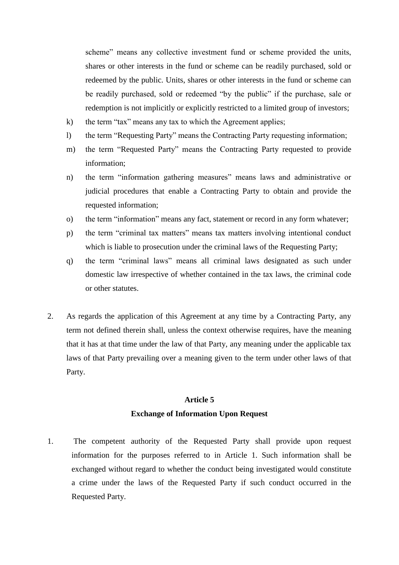scheme" means any collective investment fund or scheme provided the units, shares or other interests in the fund or scheme can be readily purchased, sold or redeemed by the public. Units, shares or other interests in the fund or scheme can be readily purchased, sold or redeemed "by the public" if the purchase, sale or redemption is not implicitly or explicitly restricted to a limited group of investors;

- k) the term "tax" means any tax to which the Agreement applies;
- l) the term "Requesting Party" means the Contracting Party requesting information;
- m) the term "Requested Party" means the Contracting Party requested to provide information;
- n) the term "information gathering measures" means laws and administrative or judicial procedures that enable a Contracting Party to obtain and provide the requested information;
- o) the term "information" means any fact, statement or record in any form whatever;
- p) the term "criminal tax matters" means tax matters involving intentional conduct which is liable to prosecution under the criminal laws of the Requesting Party;
- q) the term "criminal laws" means all criminal laws designated as such under domestic law irrespective of whether contained in the tax laws, the criminal code or other statutes.
- 2. As regards the application of this Agreement at any time by a Contracting Party, any term not defined therein shall, unless the context otherwise requires, have the meaning that it has at that time under the law of that Party, any meaning under the applicable tax laws of that Party prevailing over a meaning given to the term under other laws of that Party.

# **Article 5 Exchange of Information Upon Request**

1. The competent authority of the Requested Party shall provide upon request information for the purposes referred to in Article 1. Such information shall be exchanged without regard to whether the conduct being investigated would constitute a crime under the laws of the Requested Party if such conduct occurred in the Requested Party.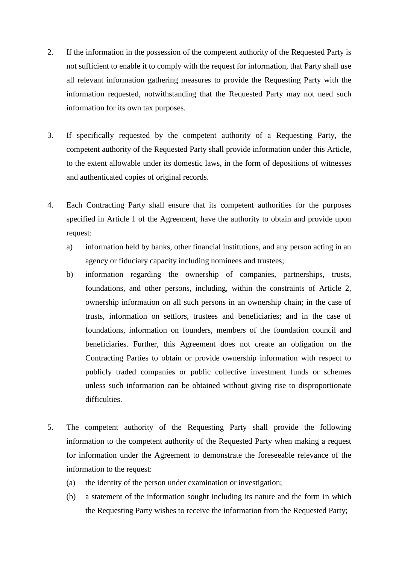- 2. If the information in the possession of the competent authority of the Requested Party is not sufficient to enable it to comply with the request for information, that Party shall use all relevant information gathering measures to provide the Requesting Party with the information requested, notwithstanding that the Requested Party may not need such information for its own tax purposes.
- 3. If specifically requested by the competent authority of a Requesting Party, the competent authority of the Requested Party shall provide information under this Article, to the extent allowable under its domestic laws, in the form of depositions of witnesses and authenticated copies of original records.
- 4. Each Contracting Party shall ensure that its competent authorities for the purposes specified in Article 1 of the Agreement, have the authority to obtain and provide upon request:
	- a) information held by banks, other financial institutions, and any person acting in an agency or fiduciary capacity including nominees and trustees;
	- b) information regarding the ownership of companies, partnerships, trusts, foundations, and other persons, including, within the constraints of Article 2, ownership information on all such persons in an ownership chain; in the case of trusts, information on settlors, trustees and beneficiaries; and in the case of foundations, information on founders, members of the foundation council and beneficiaries. Further, this Agreement does not create an obligation on the Contracting Parties to obtain or provide ownership information with respect to publicly traded companies or public collective investment funds or schemes unless such information can be obtained without giving rise to disproportionate difficulties.
- 5. The competent authority of the Requesting Party shall provide the following information to the competent authority of the Requested Party when making a request for information under the Agreement to demonstrate the foreseeable relevance of the information to the request:
	- (a) the identity of the person under examination or investigation;
	- (b) a statement of the information sought including its nature and the form in which the Requesting Party wishes to receive the information from the Requested Party;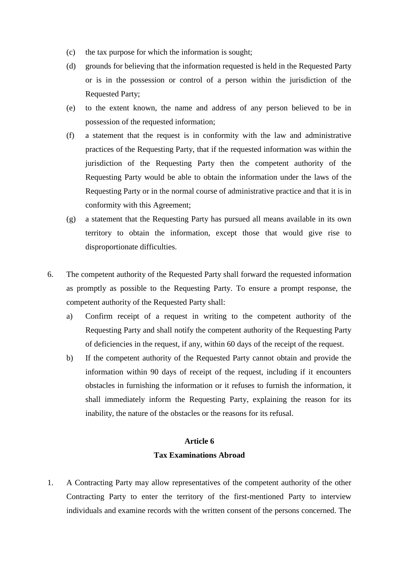- (c) the tax purpose for which the information is sought;
- (d) grounds for believing that the information requested is held in the Requested Party or is in the possession or control of a person within the jurisdiction of the Requested Party;
- (e) to the extent known, the name and address of any person believed to be in possession of the requested information;
- (f) a statement that the request is in conformity with the law and administrative practices of the Requesting Party, that if the requested information was within the jurisdiction of the Requesting Party then the competent authority of the Requesting Party would be able to obtain the information under the laws of the Requesting Party or in the normal course of administrative practice and that it is in conformity with this Agreement;
- (g) a statement that the Requesting Party has pursued all means available in its own territory to obtain the information, except those that would give rise to disproportionate difficulties.
- 6. The competent authority of the Requested Party shall forward the requested information as promptly as possible to the Requesting Party. To ensure a prompt response, the competent authority of the Requested Party shall:
	- a) Confirm receipt of a request in writing to the competent authority of the Requesting Party and shall notify the competent authority of the Requesting Party of deficiencies in the request, if any, within 60 days of the receipt of the request.
	- b) If the competent authority of the Requested Party cannot obtain and provide the information within 90 days of receipt of the request, including if it encounters obstacles in furnishing the information or it refuses to furnish the information, it shall immediately inform the Requesting Party, explaining the reason for its inability, the nature of the obstacles or the reasons for its refusal.

## **Article 6 Tax Examinations Abroad**

1. A Contracting Party may allow representatives of the competent authority of the other Contracting Party to enter the territory of the first-mentioned Party to interview individuals and examine records with the written consent of the persons concerned. The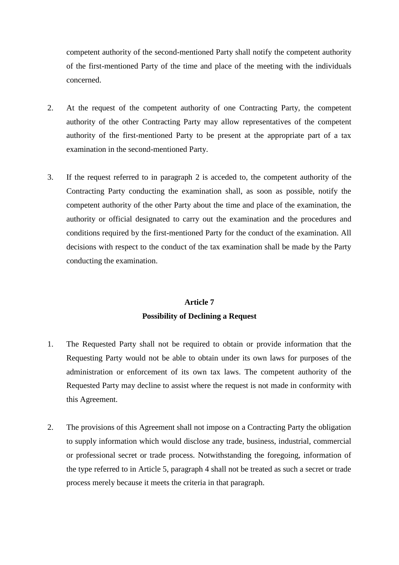competent authority of the second-mentioned Party shall notify the competent authority of the first-mentioned Party of the time and place of the meeting with the individuals concerned.

- 2. At the request of the competent authority of one Contracting Party, the competent authority of the other Contracting Party may allow representatives of the competent authority of the first-mentioned Party to be present at the appropriate part of a tax examination in the second-mentioned Party.
- 3. If the request referred to in paragraph 2 is acceded to, the competent authority of the Contracting Party conducting the examination shall, as soon as possible, notify the competent authority of the other Party about the time and place of the examination, the authority or official designated to carry out the examination and the procedures and conditions required by the first-mentioned Party for the conduct of the examination. All decisions with respect to the conduct of the tax examination shall be made by the Party conducting the examination.

# **Article 7 Possibility of Declining a Request**

- 1. The Requested Party shall not be required to obtain or provide information that the Requesting Party would not be able to obtain under its own laws for purposes of the administration or enforcement of its own tax laws. The competent authority of the Requested Party may decline to assist where the request is not made in conformity with this Agreement.
- 2. The provisions of this Agreement shall not impose on a Contracting Party the obligation to supply information which would disclose any trade, business, industrial, commercial or professional secret or trade process. Notwithstanding the foregoing, information of the type referred to in Article 5, paragraph 4 shall not be treated as such a secret or trade process merely because it meets the criteria in that paragraph.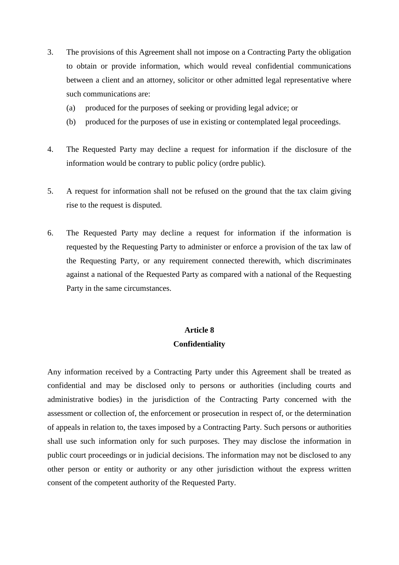- 3. The provisions of this Agreement shall not impose on a Contracting Party the obligation to obtain or provide information, which would reveal confidential communications between a client and an attorney, solicitor or other admitted legal representative where such communications are:
	- (a) produced for the purposes of seeking or providing legal advice; or
	- (b) produced for the purposes of use in existing or contemplated legal proceedings.
- 4. The Requested Party may decline a request for information if the disclosure of the information would be contrary to public policy (ordre public).
- 5. A request for information shall not be refused on the ground that the tax claim giving rise to the request is disputed.
- 6. The Requested Party may decline a request for information if the information is requested by the Requesting Party to administer or enforce a provision of the tax law of the Requesting Party, or any requirement connected therewith, which discriminates against a national of the Requested Party as compared with a national of the Requesting Party in the same circumstances.

# **Article 8 Confidentiality**

Any information received by a Contracting Party under this Agreement shall be treated as confidential and may be disclosed only to persons or authorities (including courts and administrative bodies) in the jurisdiction of the Contracting Party concerned with the assessment or collection of, the enforcement or prosecution in respect of, or the determination of appeals in relation to, the taxes imposed by a Contracting Party. Such persons or authorities shall use such information only for such purposes. They may disclose the information in public court proceedings or in judicial decisions. The information may not be disclosed to any other person or entity or authority or any other jurisdiction without the express written consent of the competent authority of the Requested Party.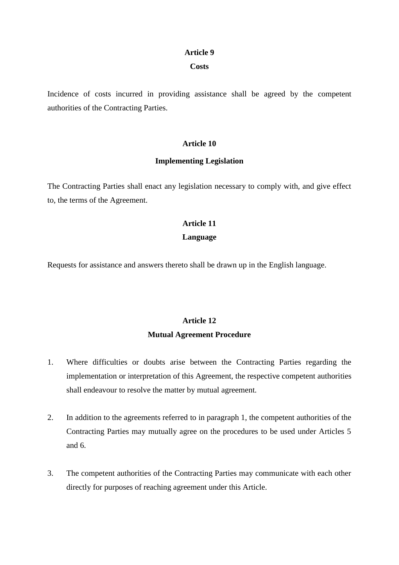#### **Costs**

Incidence of costs incurred in providing assistance shall be agreed by the competent authorities of the Contracting Parties.

### **Article 10**

#### **Implementing Legislation**

The Contracting Parties shall enact any legislation necessary to comply with, and give effect to, the terms of the Agreement.

## **Article 11**

### **Language**

Requests for assistance and answers thereto shall be drawn up in the English language.

# **Article 12 Mutual Agreement Procedure**

- 1. Where difficulties or doubts arise between the Contracting Parties regarding the implementation or interpretation of this Agreement, the respective competent authorities shall endeavour to resolve the matter by mutual agreement.
- 2. In addition to the agreements referred to in paragraph 1, the competent authorities of the Contracting Parties may mutually agree on the procedures to be used under Articles 5 and 6.
- 3. The competent authorities of the Contracting Parties may communicate with each other directly for purposes of reaching agreement under this Article.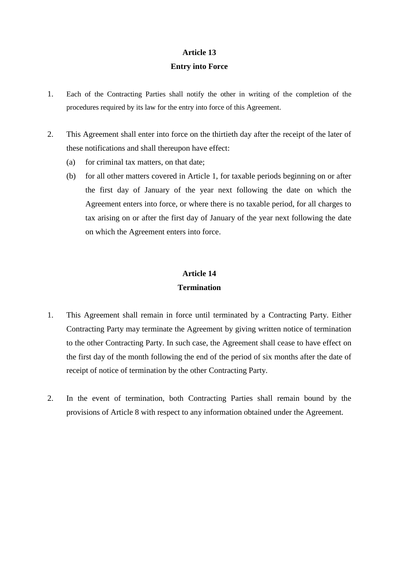#### **Entry into Force**

- 1. Each of the Contracting Parties shall notify the other in writing of the completion of the procedures required by its law for the entry into force of this Agreement.
- 2. This Agreement shall enter into force on the thirtieth day after the receipt of the later of these notifications and shall thereupon have effect:
	- (a) for criminal tax matters, on that date;
	- (b) for all other matters covered in Article 1, for taxable periods beginning on or after the first day of January of the year next following the date on which the Agreement enters into force, or where there is no taxable period, for all charges to tax arising on or after the first day of January of the year next following the date on which the Agreement enters into force.

### **Article 14**

### **Termination**

- 1. This Agreement shall remain in force until terminated by a Contracting Party. Either Contracting Party may terminate the Agreement by giving written notice of termination to the other Contracting Party. In such case, the Agreement shall cease to have effect on the first day of the month following the end of the period of six months after the date of receipt of notice of termination by the other Contracting Party.
- 2. In the event of termination, both Contracting Parties shall remain bound by the provisions of Article 8 with respect to any information obtained under the Agreement.